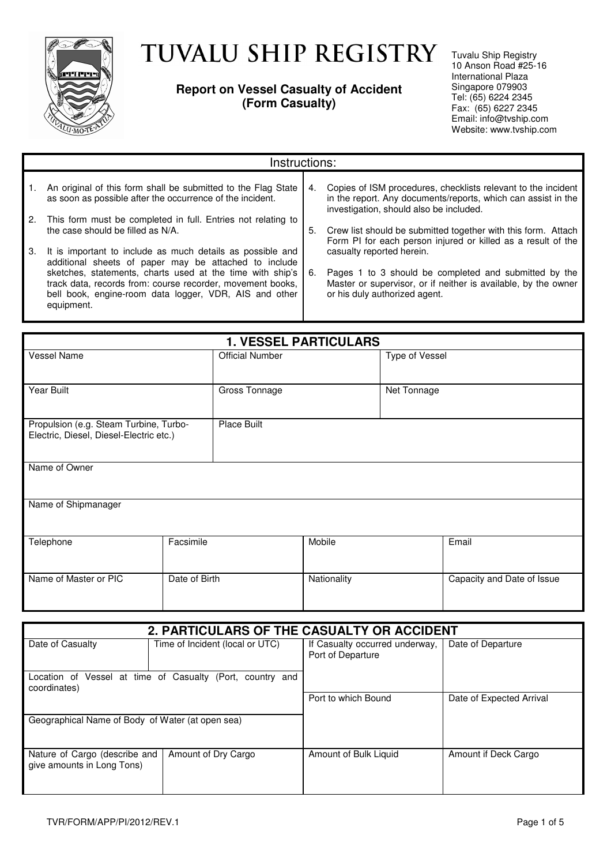

# TUVALU SHIP REGISTRY

**Report on Vessel Casualty of Accident (Form Casualty)** 

Tuvalu Ship Registry 10 Anson Road #25-16 International Plaza Singapore 079903 Tel: (65) 6224 2345 Fax: (65) 6227 2345 Email: info@tvship.com Website: www.tvship.com

|          | Instructions:                                                                                                                                                                                                                                            |    |                                                                                                                                                                           |  |  |  |  |
|----------|----------------------------------------------------------------------------------------------------------------------------------------------------------------------------------------------------------------------------------------------------------|----|---------------------------------------------------------------------------------------------------------------------------------------------------------------------------|--|--|--|--|
|          | An original of this form shall be submitted to the Flag State<br>as soon as possible after the occurrence of the incident.                                                                                                                               | 4. | Copies of ISM procedures, checklists relevant to the incident<br>in the report. Any documents/reports, which can assist in the<br>investigation, should also be included. |  |  |  |  |
| 2.<br>3. | This form must be completed in full. Entries not relating to<br>the case should be filled as N/A.<br>It is important to include as much details as possible and                                                                                          | 5. | Crew list should be submitted together with this form. Attach<br>Form PI for each person injured or killed as a result of the<br>casualty reported herein.                |  |  |  |  |
|          | additional sheets of paper may be attached to include<br>sketches, statements, charts used at the time with ship's<br>track data, records from: course recorder, movement books,<br>bell book, engine-room data logger, VDR, AIS and other<br>equipment. | 6. | Pages 1 to 3 should be completed and submitted by the<br>Master or supervisor, or if neither is available, by the owner<br>or his duly authorized agent.                  |  |  |  |  |

| <b>1. VESSEL PARTICULARS</b>                                                      |                        |  |                |  |                            |  |
|-----------------------------------------------------------------------------------|------------------------|--|----------------|--|----------------------------|--|
| <b>Vessel Name</b>                                                                | <b>Official Number</b> |  | Type of Vessel |  |                            |  |
| Year Built                                                                        | Gross Tonnage          |  | Net Tonnage    |  |                            |  |
| Propulsion (e.g. Steam Turbine, Turbo-<br>Electric, Diesel, Diesel-Electric etc.) | <b>Place Built</b>     |  |                |  |                            |  |
| Name of Owner                                                                     |                        |  |                |  |                            |  |
| Name of Shipmanager                                                               |                        |  |                |  |                            |  |
| Telephone                                                                         | Facsimile              |  | Mobile         |  | Email                      |  |
| Name of Master or PIC                                                             | Date of Birth          |  | Nationality    |  | Capacity and Date of Issue |  |

| 2. PARTICULARS OF THE CASUALTY OR ACCIDENT                  |                                                           |                                                     |                          |  |  |  |
|-------------------------------------------------------------|-----------------------------------------------------------|-----------------------------------------------------|--------------------------|--|--|--|
| Date of Casualty                                            | Time of Incident (local or UTC)                           | If Casualty occurred underway,<br>Port of Departure | Date of Departure        |  |  |  |
| coordinates)                                                | Location of Vessel at time of Casualty (Port, country and |                                                     |                          |  |  |  |
|                                                             |                                                           | Port to which Bound                                 | Date of Expected Arrival |  |  |  |
| Geographical Name of Body of Water (at open sea)            |                                                           |                                                     |                          |  |  |  |
| Nature of Cargo (describe and<br>give amounts in Long Tons) | Amount of Dry Cargo                                       | Amount of Bulk Liquid                               | Amount if Deck Cargo     |  |  |  |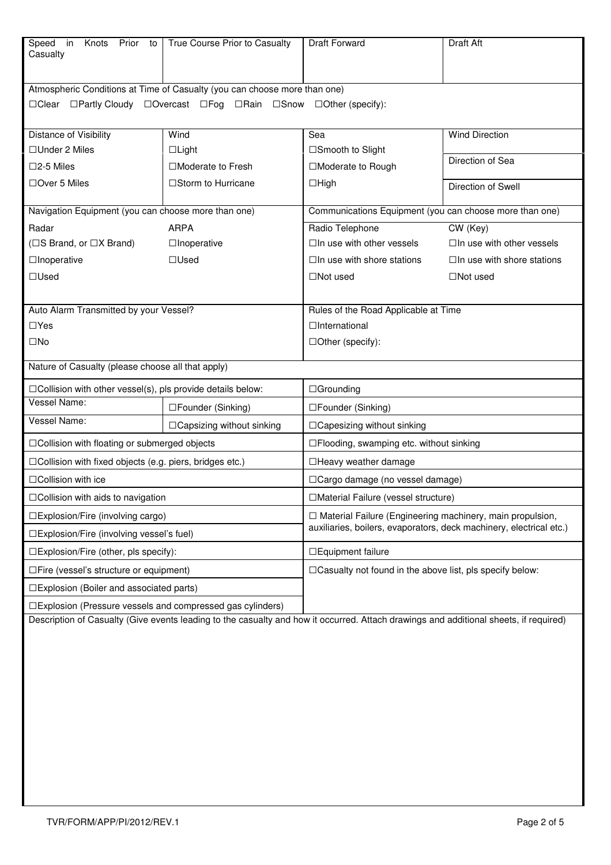| Speed in<br>Knots<br>Prior<br>to<br>Casualty                                                                                          | True Course Prior to Casualty                                             | <b>Draft Forward</b>                                                | <b>Draft Aft</b>                    |  |  |  |
|---------------------------------------------------------------------------------------------------------------------------------------|---------------------------------------------------------------------------|---------------------------------------------------------------------|-------------------------------------|--|--|--|
|                                                                                                                                       | Atmospheric Conditions at Time of Casualty (you can choose more than one) |                                                                     |                                     |  |  |  |
|                                                                                                                                       | □Clear □Partly Cloudy □Overcast □Fog □Rain □Snow □Other (specify):        |                                                                     |                                     |  |  |  |
|                                                                                                                                       |                                                                           |                                                                     |                                     |  |  |  |
| Distance of Visibility                                                                                                                | Wind                                                                      | Sea                                                                 | <b>Wind Direction</b>               |  |  |  |
| □Under 2 Miles                                                                                                                        | $\Box$ Light                                                              | □Smooth to Slight                                                   |                                     |  |  |  |
| $\square$ 2-5 Miles                                                                                                                   | □Moderate to Fresh                                                        | Direction of Sea<br>□Moderate to Rough                              |                                     |  |  |  |
| □Over 5 Miles                                                                                                                         | □Storm to Hurricane                                                       | $\Box$ High                                                         | Direction of Swell                  |  |  |  |
| Navigation Equipment (you can choose more than one)                                                                                   |                                                                           | Communications Equipment (you can choose more than one)             |                                     |  |  |  |
| Radar                                                                                                                                 | <b>ARPA</b>                                                               | Radio Telephone                                                     | CW (Key)                            |  |  |  |
| (□S Brand, or □X Brand)                                                                                                               | $\Box$ Inoperative                                                        | $\Box$ In use with other vessels                                    | $\square$ In use with other vessels |  |  |  |
| □Inoperative                                                                                                                          | $\Box$ Used                                                               | $\Box$ In use with shore stations                                   | $\Box$ In use with shore stations   |  |  |  |
| $\Box$ Used                                                                                                                           |                                                                           | $\Box$ Not used                                                     | $\Box$ Not used                     |  |  |  |
|                                                                                                                                       |                                                                           |                                                                     |                                     |  |  |  |
| Auto Alarm Transmitted by your Vessel?                                                                                                |                                                                           | Rules of the Road Applicable at Time                                |                                     |  |  |  |
| $\Box$ Yes                                                                                                                            |                                                                           | $\Box$ International                                                |                                     |  |  |  |
| $\square$ No                                                                                                                          |                                                                           | $\Box$ Other (specify):                                             |                                     |  |  |  |
| Nature of Casualty (please choose all that apply)                                                                                     |                                                                           |                                                                     |                                     |  |  |  |
| $\Box$ Collision with other vessel(s), pls provide details below:                                                                     |                                                                           | $\Box$ Grounding                                                    |                                     |  |  |  |
| Vessel Name:                                                                                                                          | □Founder (Sinking)                                                        | □Founder (Sinking)                                                  |                                     |  |  |  |
| Vessel Name:                                                                                                                          | □Capsizing without sinking                                                | □ Capesizing without sinking                                        |                                     |  |  |  |
| □ Collision with floating or submerged objects                                                                                        |                                                                           | □Flooding, swamping etc. without sinking                            |                                     |  |  |  |
| □Collision with fixed objects (e.g. piers, bridges etc.)                                                                              |                                                                           | □Heavy weather damage                                               |                                     |  |  |  |
| □Collision with ice                                                                                                                   |                                                                           | □ Cargo damage (no vessel damage)                                   |                                     |  |  |  |
| □ Collision with aids to navigation                                                                                                   |                                                                           | □Material Failure (vessel structure)                                |                                     |  |  |  |
| □ Explosion/Fire (involving cargo)                                                                                                    |                                                                           | $\Box$ Material Failure (Engineering machinery, main propulsion,    |                                     |  |  |  |
| □Explosion/Fire (involving vessel's fuel)                                                                                             |                                                                           | auxiliaries, boilers, evaporators, deck machinery, electrical etc.) |                                     |  |  |  |
| $\square$ Explosion/Fire (other, pls specify):                                                                                        |                                                                           | □Equipment failure                                                  |                                     |  |  |  |
| □Fire (vessel's structure or equipment)                                                                                               |                                                                           | □ Casualty not found in the above list, pls specify below:          |                                     |  |  |  |
| □ Explosion (Boiler and associated parts)                                                                                             |                                                                           |                                                                     |                                     |  |  |  |
| □Explosion (Pressure vessels and compressed gas cylinders)                                                                            |                                                                           |                                                                     |                                     |  |  |  |
| Description of Casualty (Give events leading to the casualty and how it occurred. Attach drawings and additional sheets, if required) |                                                                           |                                                                     |                                     |  |  |  |
|                                                                                                                                       |                                                                           |                                                                     |                                     |  |  |  |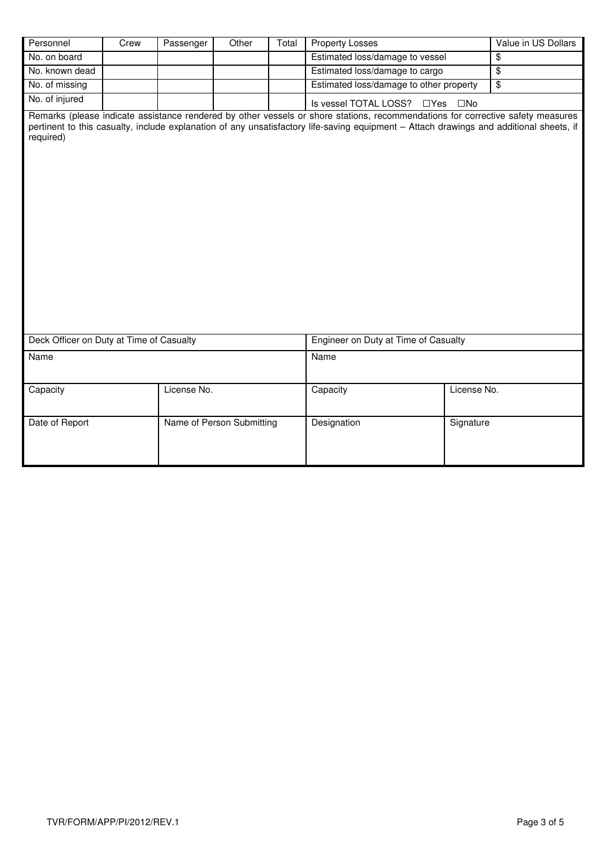| Personnel                                | Crew | Passenger   | Other                     | Total | <b>Property Losses</b>                                                                                                                                                                                                                                                     |                                                          | Value in US Dollars     |  |
|------------------------------------------|------|-------------|---------------------------|-------|----------------------------------------------------------------------------------------------------------------------------------------------------------------------------------------------------------------------------------------------------------------------------|----------------------------------------------------------|-------------------------|--|
| No. on board                             |      |             |                           |       | Estimated loss/damage to vessel                                                                                                                                                                                                                                            |                                                          | \$                      |  |
| No. known dead                           |      |             |                           |       | Estimated loss/damage to cargo                                                                                                                                                                                                                                             |                                                          | $\overline{\mathbf{e}}$ |  |
| No. of missing                           |      |             |                           |       |                                                                                                                                                                                                                                                                            | Estimated loss/damage to other property<br>$\frac{1}{2}$ |                         |  |
| No. of injured                           |      |             |                           |       | Is vessel TOTAL LOSS? □ Yes                                                                                                                                                                                                                                                | $\square$ No                                             |                         |  |
| required)                                |      |             |                           |       | Remarks (please indicate assistance rendered by other vessels or shore stations, recommendations for corrective safety measures<br>pertinent to this casualty, include explanation of any unsatisfactory life-saving equipment - Attach drawings and additional sheets, if |                                                          |                         |  |
| Deck Officer on Duty at Time of Casualty |      |             |                           |       | Engineer on Duty at Time of Casualty                                                                                                                                                                                                                                       |                                                          |                         |  |
| Name                                     |      |             |                           |       | Name                                                                                                                                                                                                                                                                       |                                                          |                         |  |
|                                          |      |             |                           |       |                                                                                                                                                                                                                                                                            |                                                          |                         |  |
| Capacity                                 |      | License No. |                           |       | Capacity                                                                                                                                                                                                                                                                   | License No.                                              |                         |  |
| Date of Report                           |      |             | Name of Person Submitting |       | Designation                                                                                                                                                                                                                                                                | Signature                                                |                         |  |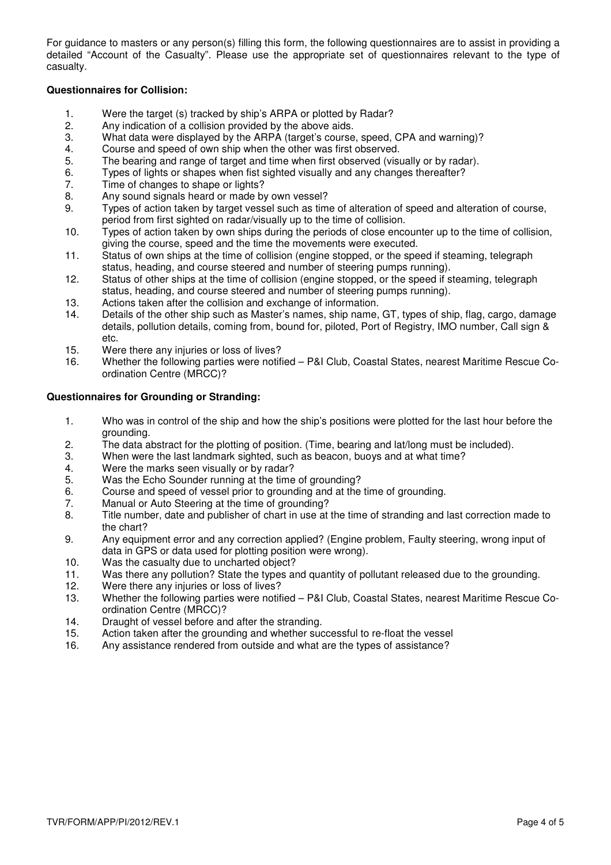For guidance to masters or any person(s) filling this form, the following questionnaires are to assist in providing a detailed "Account of the Casualty". Please use the appropriate set of questionnaires relevant to the type of casualty.

# **Questionnaires for Collision:**

- 1. Were the target (s) tracked by ship's ARPA or plotted by Radar?
- 2. Any indication of a collision provided by the above aids.
- 3. What data were displayed by the ARPA (target's course, speed, CPA and warning)?
- 4. Course and speed of own ship when the other was first observed.
- 5. The bearing and range of target and time when first observed (visually or by radar).
- 6. Types of lights or shapes when fist sighted visually and any changes thereafter?
- 7. Time of changes to shape or lights?
- 8. Any sound signals heard or made by own vessel?
- 9. Types of action taken by target vessel such as time of alteration of speed and alteration of course, period from first sighted on radar/visually up to the time of collision.
- 10. Types of action taken by own ships during the periods of close encounter up to the time of collision, giving the course, speed and the time the movements were executed.
- 11. Status of own ships at the time of collision (engine stopped, or the speed if steaming, telegraph status, heading, and course steered and number of steering pumps running).
- 12. Status of other ships at the time of collision (engine stopped, or the speed if steaming, telegraph status, heading, and course steered and number of steering pumps running).
- 13. Actions taken after the collision and exchange of information.
- 14. Details of the other ship such as Master's names, ship name, GT, types of ship, flag, cargo, damage details, pollution details, coming from, bound for, piloted, Port of Registry, IMO number, Call sign & etc.
- 15. Were there any injuries or loss of lives?
- 16. Whether the following parties were notified P&I Club, Coastal States, nearest Maritime Rescue Coordination Centre (MRCC)?

# **Questionnaires for Grounding or Stranding:**

- 1. Who was in control of the ship and how the ship's positions were plotted for the last hour before the grounding.
- 2. The data abstract for the plotting of position. (Time, bearing and lat/long must be included).
- 3. When were the last landmark sighted, such as beacon, buoys and at what time?
- 4. Were the marks seen visually or by radar?<br>5. Was the Echo Sounder running at the time
- Was the Echo Sounder running at the time of grounding?
- 6. Course and speed of vessel prior to grounding and at the time of grounding.
- 7. Manual or Auto Steering at the time of grounding?
- 8. Title number, date and publisher of chart in use at the time of stranding and last correction made to the chart?
- 9. Any equipment error and any correction applied? (Engine problem, Faulty steering, wrong input of data in GPS or data used for plotting position were wrong).
- 10. Was the casualty due to uncharted object?
- 11. Was there any pollution? State the types and quantity of pollutant released due to the grounding.
- 12. Were there any injuries or loss of lives?
- 13. Whether the following parties were notified P&I Club, Coastal States, nearest Maritime Rescue Coordination Centre (MRCC)?
- 14. Draught of vessel before and after the stranding.
- 15. Action taken after the grounding and whether successful to re-float the vessel<br>16. Any assistance rendered from outside and what are the types of assistance?
- Any assistance rendered from outside and what are the types of assistance?